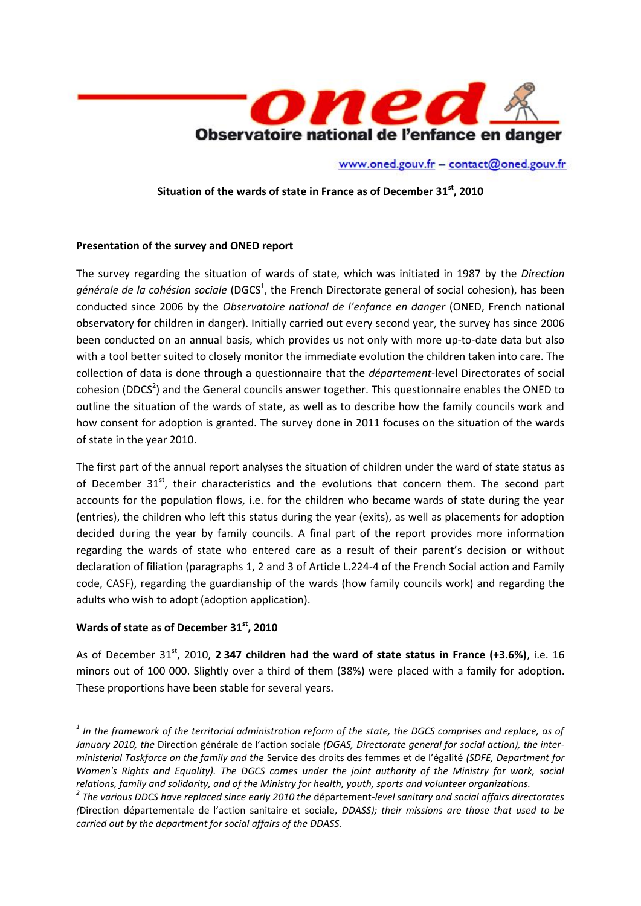

www.oned.gouv.fr - contact@oned.gouv.fr

**Situation of the wards of state in France as of December 31st, 2010**

## **Presentation of the survey and ONED report**

The survey regarding the situation of wards of state, which was initiated in 1987 by the *Direction*  générale de la cohésion sociale (DGCS<sup>1</sup>, the French Directorate general of social cohesion), has been conducted since 2006 by the *Observatoire national de l'enfance en danger* (ONED, French national observatory for children in danger). Initially carried out every second year, the survey has since 2006 been conducted on an annual basis, which provides us not only with more up-to-date data but also with a tool better suited to closely monitor the immediate evolution the children taken into care. The collection of data is done through a questionnaire that the *département*-level Directorates of social cohesion (DDCS<sup>2</sup>) and the General councils answer together. This questionnaire enables the ONED to outline the situation of the wards of state, as well as to describe how the family councils work and how consent for adoption is granted. The survey done in 2011 focuses on the situation of the wards of state in the year 2010.

The first part of the annual report analyses the situation of children under the ward of state status as of December  $31<sup>st</sup>$ , their characteristics and the evolutions that concern them. The second part accounts for the population flows, i.e. for the children who became wards of state during the year (entries), the children who left this status during the year (exits), as well as placements for adoption decided during the year by family councils. A final part of the report provides more information regarding the wards of state who entered care as a result of their parent's decision or without declaration of filiation (paragraphs 1, 2 and 3 of Article L.224-4 of the French Social action and Family code, CASF), regarding the guardianship of the wards (how family councils work) and regarding the adults who wish to adopt (adoption application).

## **Wards of state as of December 31st, 2010**

**.** 

As of December 31st, 2010, **2 347 children had the ward of state status in France (+3.6%)**, i.e. 16 minors out of 100 000. Slightly over a third of them (38%) were placed with a family for adoption. These proportions have been stable for several years.

*<sup>1</sup> In the framework of the territorial administration reform of the state, the DGCS comprises and replace, as of January 2010, the* Direction générale de l'action sociale *(DGAS, Directorate general for social action), the interministerial Taskforce on the family and the* Service des droits des femmes et de l'égalité *(SDFE, Department for Women's Rights and Equality). The DGCS comes under the joint authority of the Ministry for work, social relations, family and solidarity, and of the Ministry for health, youth, sports and volunteer organizations.*

*<sup>2</sup> The various DDCS have replaced since early 2010 the* département*-level sanitary and social affairs directorates (*Direction départementale de l'action sanitaire et sociale*, DDASS); their missions are those that used to be carried out by the department for social affairs of the DDASS.*